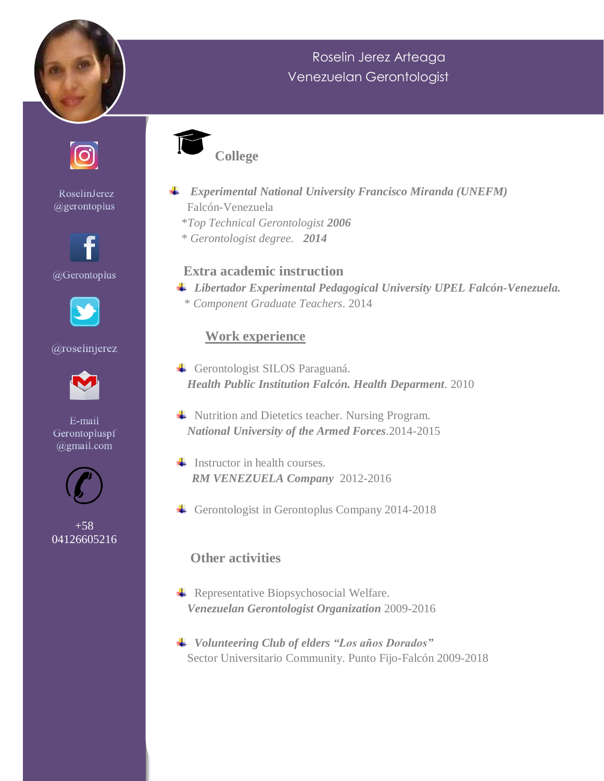# Roselin Jerez Arteaga Venezuelan Gerontologist





RoselinJerez @gerontoplus



#### @roselinjerez



E-mail Gerontopluspf  $\omega$ gmail.com



+58 04126605216



*Experimental National University Francisco Miranda (UNEFM)* Falcón-Venezuela \**Top Technical Gerontologist 2006* \* *Gerontologist degree. 2014*

#### **Extra academic instruction**

*Libertador Experimental Pedagogical University UPEL Falcón-Venezuela.* \* *Component Graduate Teachers*. 2014

#### **Work experience**

- Gerontologist SILOS Paraguaná. *Health Public Institution Falcón. Health Deparment*. 2010
- Nutrition and Dietetics teacher. Nursing Program. *National University of the Armed Forces*.2014-2015
- $\blacksquare$  Instructor in health courses. *RM VENEZUELA Company* 2012-2016
- Gerontologist in Gerontoplus Company 2014-2018

### **Other activities**

- Representative Biopsychosocial Welfare. *Venezuelan Gerontologist Organization* 2009-2016
- *Volunteering Club of elders "Los años Dorados"* Sector Universitario Community. Punto Fijo-Falcón 2009-2018